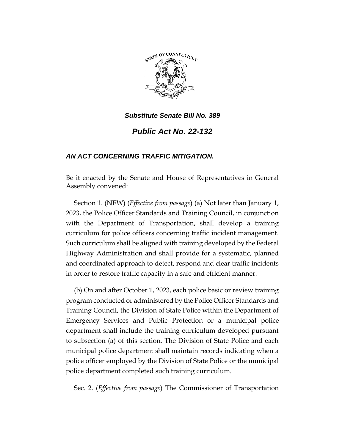

*Substitute Senate Bill No. 389*

*Public Act No. 22-132*

## *AN ACT CONCERNING TRAFFIC MITIGATION.*

Be it enacted by the Senate and House of Representatives in General Assembly convened:

Section 1. (NEW) (*Effective from passage*) (a) Not later than January 1, 2023, the Police Officer Standards and Training Council, in conjunction with the Department of Transportation, shall develop a training curriculum for police officers concerning traffic incident management. Such curriculum shall be aligned with training developed by the Federal Highway Administration and shall provide for a systematic, planned and coordinated approach to detect, respond and clear traffic incidents in order to restore traffic capacity in a safe and efficient manner.

(b) On and after October 1, 2023, each police basic or review training program conducted or administered by the Police Officer Standards and Training Council, the Division of State Police within the Department of Emergency Services and Public Protection or a municipal police department shall include the training curriculum developed pursuant to subsection (a) of this section. The Division of State Police and each municipal police department shall maintain records indicating when a police officer employed by the Division of State Police or the municipal police department completed such training curriculum.

Sec. 2. (*Effective from passage*) The Commissioner of Transportation